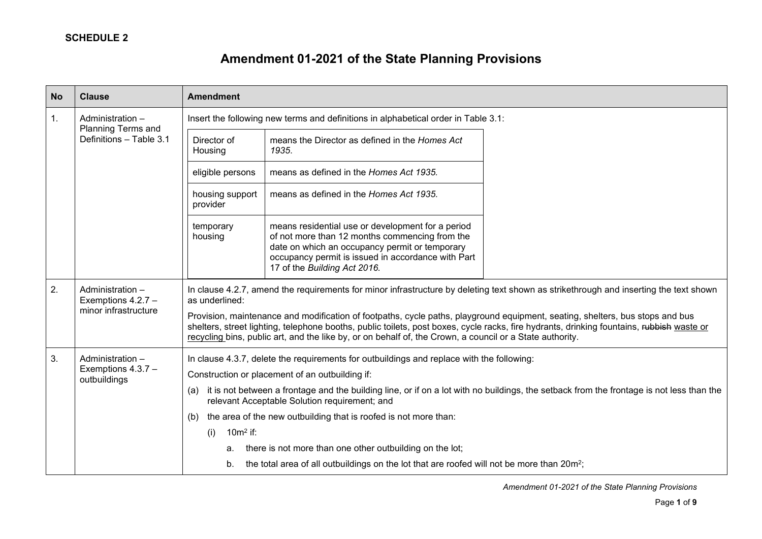# **Amendment 01-2021 of the State Planning Provisions**

| <b>No</b> | <b>Clause</b>                                                     | <b>Amendment</b>                                                                                                                                                                                                                                                                                                                                                                                                                                                                                                                                                                                                                   |
|-----------|-------------------------------------------------------------------|------------------------------------------------------------------------------------------------------------------------------------------------------------------------------------------------------------------------------------------------------------------------------------------------------------------------------------------------------------------------------------------------------------------------------------------------------------------------------------------------------------------------------------------------------------------------------------------------------------------------------------|
| 1.        | Administration -<br>Planning Terms and<br>Definitions - Table 3.1 | Insert the following new terms and definitions in alphabetical order in Table 3.1:                                                                                                                                                                                                                                                                                                                                                                                                                                                                                                                                                 |
|           |                                                                   | Director of<br>means the Director as defined in the Homes Act<br>1935.<br>Housing                                                                                                                                                                                                                                                                                                                                                                                                                                                                                                                                                  |
|           |                                                                   | means as defined in the Homes Act 1935.<br>eligible persons                                                                                                                                                                                                                                                                                                                                                                                                                                                                                                                                                                        |
|           |                                                                   | means as defined in the Homes Act 1935.<br>housing support<br>provider                                                                                                                                                                                                                                                                                                                                                                                                                                                                                                                                                             |
|           |                                                                   | means residential use or development for a period<br>temporary<br>of not more than 12 months commencing from the<br>housing<br>date on which an occupancy permit or temporary<br>occupancy permit is issued in accordance with Part<br>17 of the Building Act 2016.                                                                                                                                                                                                                                                                                                                                                                |
| 2.        | Administration -<br>Exemptions 4.2.7 -<br>minor infrastructure    | In clause 4.2.7, amend the requirements for minor infrastructure by deleting text shown as strikethrough and inserting the text shown<br>as underlined:<br>Provision, maintenance and modification of footpaths, cycle paths, playground equipment, seating, shelters, bus stops and bus<br>shelters, street lighting, telephone booths, public toilets, post boxes, cycle racks, fire hydrants, drinking fountains, rubbish waste or<br>recycling bins, public art, and the like by, or on behalf of, the Crown, a council or a State authority.                                                                                  |
| 3.        | Administration -<br>Exemptions 4.3.7 -<br>outbuildings            | In clause 4.3.7, delete the requirements for outbuildings and replace with the following:<br>Construction or placement of an outbuilding if:<br>it is not between a frontage and the building line, or if on a lot with no buildings, the setback from the frontage is not less than the<br>(a)<br>relevant Acceptable Solution requirement; and<br>the area of the new outbuilding that is roofed is not more than:<br>(b)<br>$10m2$ if:<br>(i)<br>there is not more than one other outbuilding on the lot;<br>a.<br>the total area of all outbuildings on the lot that are roofed will not be more than 20m <sup>2</sup> ;<br>b. |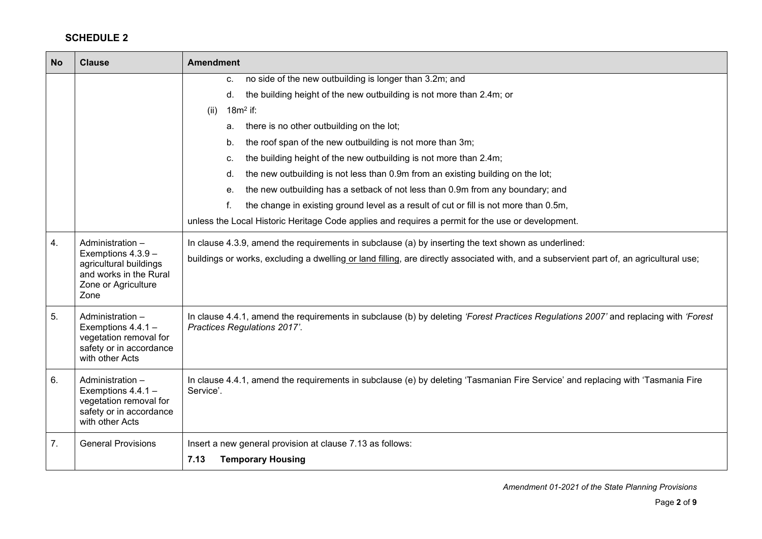| <b>No</b> | <b>Clause</b>                                                                                                    | <b>Amendment</b>                                                                                                                                                    |
|-----------|------------------------------------------------------------------------------------------------------------------|---------------------------------------------------------------------------------------------------------------------------------------------------------------------|
|           |                                                                                                                  | no side of the new outbuilding is longer than 3.2m; and<br>C.                                                                                                       |
|           |                                                                                                                  | the building height of the new outbuilding is not more than 2.4m; or<br>d.                                                                                          |
|           |                                                                                                                  | $18m2$ if:<br>(ii)                                                                                                                                                  |
|           |                                                                                                                  | there is no other outbuilding on the lot;<br>а.                                                                                                                     |
|           |                                                                                                                  | the roof span of the new outbuilding is not more than 3m;<br>b.                                                                                                     |
|           |                                                                                                                  | the building height of the new outbuilding is not more than 2.4m;<br>C.                                                                                             |
|           |                                                                                                                  | the new outbuilding is not less than 0.9m from an existing building on the lot;<br>d.                                                                               |
|           |                                                                                                                  | the new outbuilding has a setback of not less than 0.9m from any boundary; and<br>е.                                                                                |
|           |                                                                                                                  | the change in existing ground level as a result of cut or fill is not more than 0.5m,                                                                               |
|           |                                                                                                                  | unless the Local Historic Heritage Code applies and requires a permit for the use or development.                                                                   |
| 4.        | Administration -                                                                                                 | In clause 4.3.9, amend the requirements in subclause (a) by inserting the text shown as underlined:                                                                 |
|           | Exemptions 4.3.9 -<br>agricultural buildings<br>and works in the Rural<br>Zone or Agriculture<br>Zone            | buildings or works, excluding a dwelling or land filling, are directly associated with, and a subservient part of, an agricultural use;                             |
| 5.        | Administration -<br>Exemptions $4.4.1 -$<br>vegetation removal for<br>safety or in accordance<br>with other Acts | In clause 4.4.1, amend the requirements in subclause (b) by deleting 'Forest Practices Regulations 2007' and replacing with 'Forest<br>Practices Regulations 2017'. |
| 6.        | Administration -<br>Exemptions 4.4.1 -<br>vegetation removal for<br>safety or in accordance<br>with other Acts   | In clause 4.4.1, amend the requirements in subclause (e) by deleting 'Tasmanian Fire Service' and replacing with 'Tasmania Fire<br>Service'.                        |
| 7.        | <b>General Provisions</b>                                                                                        | Insert a new general provision at clause 7.13 as follows:                                                                                                           |
|           |                                                                                                                  | 7.13<br><b>Temporary Housing</b>                                                                                                                                    |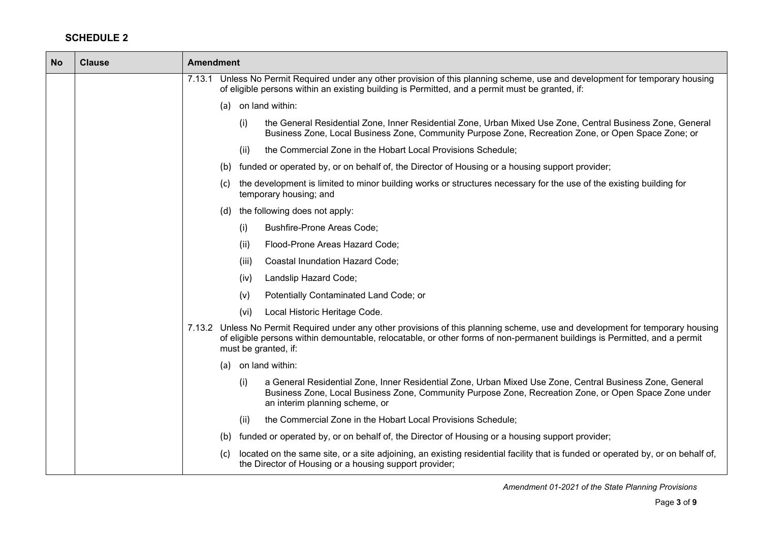$\blacksquare$ 

─

| <b>No</b> | <b>Clause</b> | <b>Amendment</b>                                                                                                                                                                                                                                                                    |
|-----------|---------------|-------------------------------------------------------------------------------------------------------------------------------------------------------------------------------------------------------------------------------------------------------------------------------------|
|           |               | 7.13.1 Unless No Permit Required under any other provision of this planning scheme, use and development for temporary housing<br>of eligible persons within an existing building is Permitted, and a permit must be granted, if:                                                    |
|           |               | on land within:<br>(a)                                                                                                                                                                                                                                                              |
|           |               | (i)<br>the General Residential Zone, Inner Residential Zone, Urban Mixed Use Zone, Central Business Zone, General<br>Business Zone, Local Business Zone, Community Purpose Zone, Recreation Zone, or Open Space Zone; or                                                            |
|           |               | the Commercial Zone in the Hobart Local Provisions Schedule;<br>(ii)                                                                                                                                                                                                                |
|           |               | funded or operated by, or on behalf of, the Director of Housing or a housing support provider;<br>(b)                                                                                                                                                                               |
|           |               | the development is limited to minor building works or structures necessary for the use of the existing building for<br>(c)<br>temporary housing; and                                                                                                                                |
|           |               | the following does not apply:<br>(d)                                                                                                                                                                                                                                                |
|           |               | Bushfire-Prone Areas Code;<br>(i)                                                                                                                                                                                                                                                   |
|           |               | Flood-Prone Areas Hazard Code;<br>(ii)                                                                                                                                                                                                                                              |
|           |               | Coastal Inundation Hazard Code;<br>(iii)                                                                                                                                                                                                                                            |
|           |               | Landslip Hazard Code;<br>(iv)                                                                                                                                                                                                                                                       |
|           |               | Potentially Contaminated Land Code; or<br>(v)                                                                                                                                                                                                                                       |
|           |               | (vi)<br>Local Historic Heritage Code.                                                                                                                                                                                                                                               |
|           |               | 7.13.2 Unless No Permit Required under any other provisions of this planning scheme, use and development for temporary housing<br>of eligible persons within demountable, relocatable, or other forms of non-permanent buildings is Permitted, and a permit<br>must be granted, if: |
|           |               | on land within:<br>(a)                                                                                                                                                                                                                                                              |
|           |               | a General Residential Zone, Inner Residential Zone, Urban Mixed Use Zone, Central Business Zone, General<br>(i)<br>Business Zone, Local Business Zone, Community Purpose Zone, Recreation Zone, or Open Space Zone under<br>an interim planning scheme, or                          |
|           |               | the Commercial Zone in the Hobart Local Provisions Schedule;<br>(ii)                                                                                                                                                                                                                |
|           |               | funded or operated by, or on behalf of, the Director of Housing or a housing support provider;<br>(b)                                                                                                                                                                               |
|           |               | located on the same site, or a site adjoining, an existing residential facility that is funded or operated by, or on behalf of,<br>(C)<br>the Director of Housing or a housing support provider;                                                                                    |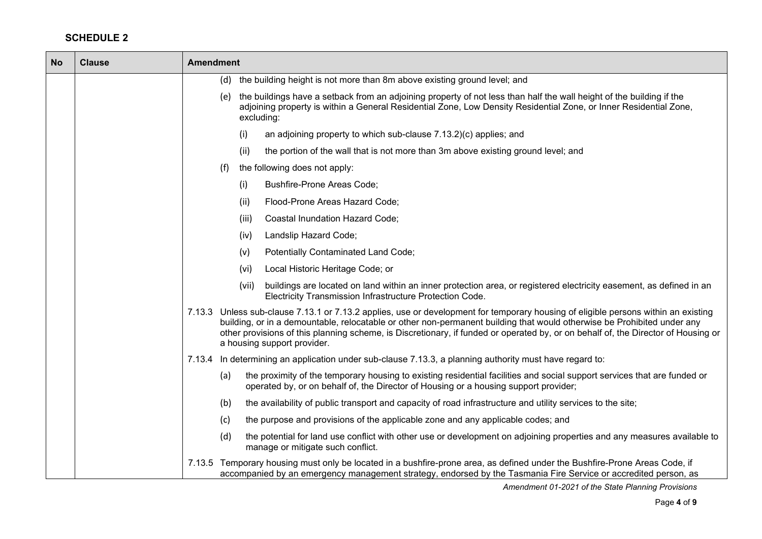| <b>No</b> | <b>Clause</b> | <b>Amendment</b>                                                                                                                                                                                                                                                                                                                                                                                                                  |
|-----------|---------------|-----------------------------------------------------------------------------------------------------------------------------------------------------------------------------------------------------------------------------------------------------------------------------------------------------------------------------------------------------------------------------------------------------------------------------------|
|           |               | (d) the building height is not more than 8m above existing ground level; and                                                                                                                                                                                                                                                                                                                                                      |
|           |               | the buildings have a setback from an adjoining property of not less than half the wall height of the building if the<br>(e)<br>adjoining property is within a General Residential Zone, Low Density Residential Zone, or Inner Residential Zone,<br>excluding:                                                                                                                                                                    |
|           |               | an adjoining property to which sub-clause 7.13.2)(c) applies; and<br>(i)                                                                                                                                                                                                                                                                                                                                                          |
|           |               | the portion of the wall that is not more than 3m above existing ground level; and<br>(ii)                                                                                                                                                                                                                                                                                                                                         |
|           |               | the following does not apply:<br>(f)                                                                                                                                                                                                                                                                                                                                                                                              |
|           |               | <b>Bushfire-Prone Areas Code;</b><br>(i)                                                                                                                                                                                                                                                                                                                                                                                          |
|           |               | Flood-Prone Areas Hazard Code;<br>(ii)                                                                                                                                                                                                                                                                                                                                                                                            |
|           |               | (iii)<br>Coastal Inundation Hazard Code;                                                                                                                                                                                                                                                                                                                                                                                          |
|           |               | Landslip Hazard Code;<br>(iv)                                                                                                                                                                                                                                                                                                                                                                                                     |
|           |               | Potentially Contaminated Land Code;<br>(v)                                                                                                                                                                                                                                                                                                                                                                                        |
|           |               | Local Historic Heritage Code; or<br>(vi)                                                                                                                                                                                                                                                                                                                                                                                          |
|           |               | (vii)<br>buildings are located on land within an inner protection area, or registered electricity easement, as defined in an<br>Electricity Transmission Infrastructure Protection Code.                                                                                                                                                                                                                                          |
|           |               | 7.13.3 Unless sub-clause 7.13.1 or 7.13.2 applies, use or development for temporary housing of eligible persons within an existing<br>building, or in a demountable, relocatable or other non-permanent building that would otherwise be Prohibited under any<br>other provisions of this planning scheme, is Discretionary, if funded or operated by, or on behalf of, the Director of Housing or<br>a housing support provider. |
|           |               | 7.13.4 In determining an application under sub-clause 7.13.3, a planning authority must have regard to:                                                                                                                                                                                                                                                                                                                           |
|           |               | the proximity of the temporary housing to existing residential facilities and social support services that are funded or<br>(a)<br>operated by, or on behalf of, the Director of Housing or a housing support provider;                                                                                                                                                                                                           |
|           |               | the availability of public transport and capacity of road infrastructure and utility services to the site;<br>(b)                                                                                                                                                                                                                                                                                                                 |
|           |               | the purpose and provisions of the applicable zone and any applicable codes; and<br>(c)                                                                                                                                                                                                                                                                                                                                            |
|           |               | the potential for land use conflict with other use or development on adjoining properties and any measures available to<br>(d)<br>manage or mitigate such conflict.                                                                                                                                                                                                                                                               |
|           |               | 7.13.5 Temporary housing must only be located in a bushfire-prone area, as defined under the Bushfire-Prone Areas Code, if<br>accompanied by an emergency management strategy, endorsed by the Tasmania Fire Service or accredited person, as                                                                                                                                                                                     |

*Amendment 01-2021 of the State Planning Provisions*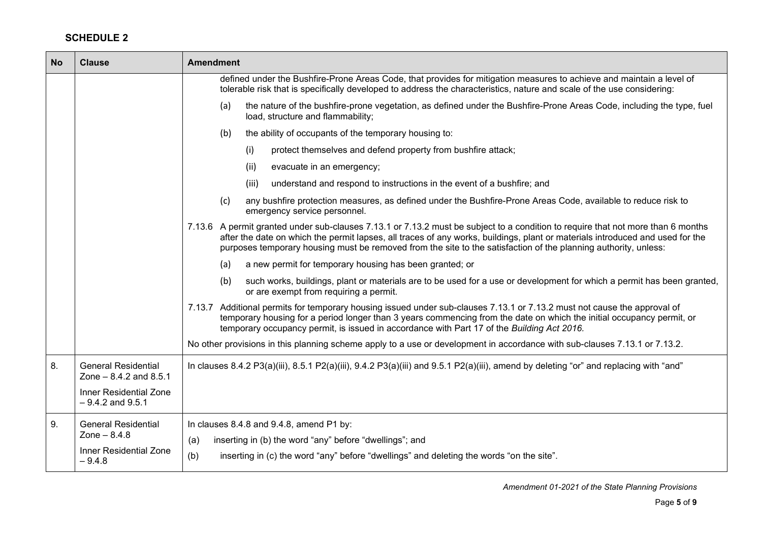| <b>No</b> | <b>Clause</b>                                           | <b>Amendment</b>                                                                                                                                                                                                                                                                                                                                                                     |
|-----------|---------------------------------------------------------|--------------------------------------------------------------------------------------------------------------------------------------------------------------------------------------------------------------------------------------------------------------------------------------------------------------------------------------------------------------------------------------|
|           |                                                         | defined under the Bushfire-Prone Areas Code, that provides for mitigation measures to achieve and maintain a level of<br>tolerable risk that is specifically developed to address the characteristics, nature and scale of the use considering:                                                                                                                                      |
|           |                                                         | the nature of the bushfire-prone vegetation, as defined under the Bushfire-Prone Areas Code, including the type, fuel<br>(a)<br>load, structure and flammability;                                                                                                                                                                                                                    |
|           |                                                         | the ability of occupants of the temporary housing to:<br>(b)                                                                                                                                                                                                                                                                                                                         |
|           |                                                         | (i)<br>protect themselves and defend property from bushfire attack;                                                                                                                                                                                                                                                                                                                  |
|           |                                                         | (ii)<br>evacuate in an emergency;                                                                                                                                                                                                                                                                                                                                                    |
|           |                                                         | (iii)<br>understand and respond to instructions in the event of a bushfire; and                                                                                                                                                                                                                                                                                                      |
|           |                                                         | any bushfire protection measures, as defined under the Bushfire-Prone Areas Code, available to reduce risk to<br>(c)<br>emergency service personnel.                                                                                                                                                                                                                                 |
|           |                                                         | 7.13.6 A permit granted under sub-clauses 7.13.1 or 7.13.2 must be subject to a condition to require that not more than 6 months<br>after the date on which the permit lapses, all traces of any works, buildings, plant or materials introduced and used for the<br>purposes temporary housing must be removed from the site to the satisfaction of the planning authority, unless: |
|           |                                                         | a new permit for temporary housing has been granted; or<br>(a)                                                                                                                                                                                                                                                                                                                       |
|           |                                                         | (b)<br>such works, buildings, plant or materials are to be used for a use or development for which a permit has been granted,<br>or are exempt from requiring a permit.                                                                                                                                                                                                              |
|           |                                                         | 7.13.7 Additional permits for temporary housing issued under sub-clauses 7.13.1 or 7.13.2 must not cause the approval of<br>temporary housing for a period longer than 3 years commencing from the date on which the initial occupancy permit, or<br>temporary occupancy permit, is issued in accordance with Part 17 of the Building Act 2016.                                      |
|           |                                                         | No other provisions in this planning scheme apply to a use or development in accordance with sub-clauses 7.13.1 or 7.13.2.                                                                                                                                                                                                                                                           |
| 8.        | <b>General Residential</b><br>Zone $-8.4.2$ and $8.5.1$ | In clauses 8.4.2 P3(a)(iii), 8.5.1 P2(a)(iii), 9.4.2 P3(a)(iii) and 9.5.1 P2(a)(iii), amend by deleting "or" and replacing with "and"                                                                                                                                                                                                                                                |
|           | <b>Inner Residential Zone</b><br>$-9.4.2$ and $9.5.1$   |                                                                                                                                                                                                                                                                                                                                                                                      |
| 9.        | <b>General Residential</b><br>Zone $- 8.4.8$            | In clauses 8.4.8 and 9.4.8, amend P1 by:                                                                                                                                                                                                                                                                                                                                             |
|           |                                                         | inserting in (b) the word "any" before "dwellings"; and<br>(a)                                                                                                                                                                                                                                                                                                                       |
|           | Inner Residential Zone<br>$-9.4.8$                      | (b)<br>inserting in (c) the word "any" before "dwellings" and deleting the words "on the site".                                                                                                                                                                                                                                                                                      |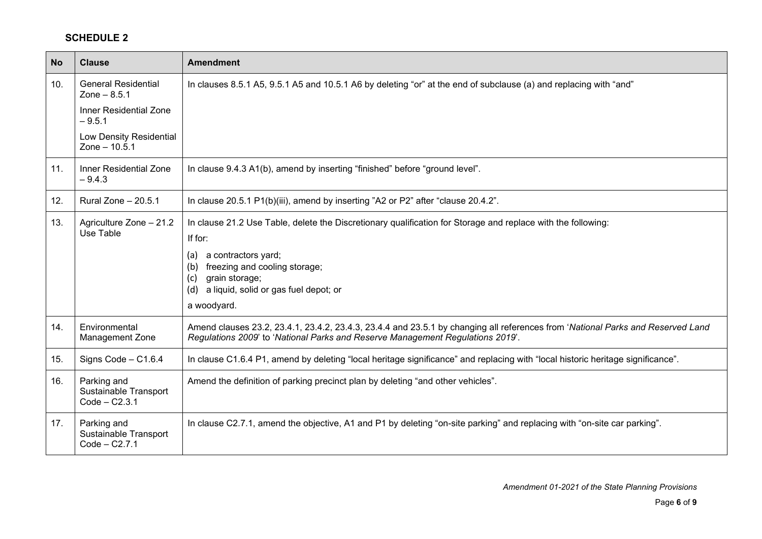| <b>No</b> | <b>Clause</b>                                           | <b>Amendment</b>                                                                                                                                                                                                                                                                      |
|-----------|---------------------------------------------------------|---------------------------------------------------------------------------------------------------------------------------------------------------------------------------------------------------------------------------------------------------------------------------------------|
| 10.       | <b>General Residential</b><br>Zone $-8.5.1$             | In clauses 8.5.1 A5, 9.5.1 A5 and 10.5.1 A6 by deleting "or" at the end of subclause (a) and replacing with "and"                                                                                                                                                                     |
|           | <b>Inner Residential Zone</b><br>$-9.5.1$               |                                                                                                                                                                                                                                                                                       |
|           | Low Density Residential<br>Zone $- 10.5.1$              |                                                                                                                                                                                                                                                                                       |
| 11.       | <b>Inner Residential Zone</b><br>$-9.4.3$               | In clause 9.4.3 A1(b), amend by inserting "finished" before "ground level".                                                                                                                                                                                                           |
| 12.       | Rural Zone - 20.5.1                                     | In clause 20.5.1 P1(b)(iii), amend by inserting "A2 or P2" after "clause 20.4.2".                                                                                                                                                                                                     |
| 13.       | Agriculture Zone - 21.2<br>Use Table                    | In clause 21.2 Use Table, delete the Discretionary qualification for Storage and replace with the following:<br>If for:<br>a contractors yard;<br>(a)<br>freezing and cooling storage;<br>(b)<br>grain storage;<br>(c)<br>a liquid, solid or gas fuel depot; or<br>(d)<br>a woodyard. |
| 14.       | Environmental<br>Management Zone                        | Amend clauses 23.2, 23.4.1, 23.4.2, 23.4.3, 23.4.4 and 23.5.1 by changing all references from 'National Parks and Reserved Land<br>Regulations 2009' to 'National Parks and Reserve Management Regulations 2019'.                                                                     |
| 15.       | Signs Code - C1.6.4                                     | In clause C1.6.4 P1, amend by deleting "local heritage significance" and replacing with "local historic heritage significance".                                                                                                                                                       |
| 16.       | Parking and<br>Sustainable Transport<br>$Code - C2.3.1$ | Amend the definition of parking precinct plan by deleting "and other vehicles".                                                                                                                                                                                                       |
| 17.       | Parking and<br>Sustainable Transport<br>$Code - C2.7.1$ | In clause C2.7.1, amend the objective, A1 and P1 by deleting "on-site parking" and replacing with "on-site car parking".                                                                                                                                                              |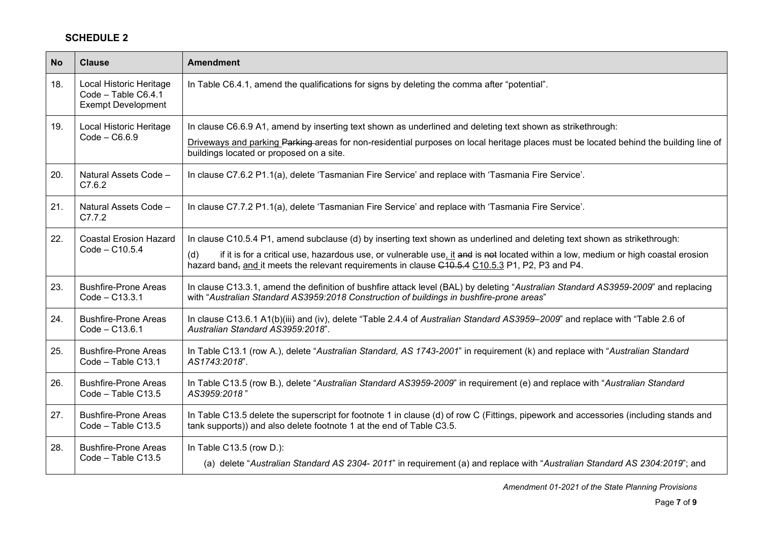| <b>No</b> | <b>Clause</b>                                                               | <b>Amendment</b>                                                                                                                                                                                                                                                                                                                                                          |
|-----------|-----------------------------------------------------------------------------|---------------------------------------------------------------------------------------------------------------------------------------------------------------------------------------------------------------------------------------------------------------------------------------------------------------------------------------------------------------------------|
| 18.       | Local Historic Heritage<br>Code - Table C6.4.1<br><b>Exempt Development</b> | In Table C6.4.1, amend the qualifications for signs by deleting the comma after "potential".                                                                                                                                                                                                                                                                              |
| 19.       | Local Historic Heritage<br>$Code - C6.6.9$                                  | In clause C6.6.9 A1, amend by inserting text shown as underlined and deleting text shown as strikethrough:<br>Driveways and parking Parking areas for non-residential purposes on local heritage places must be located behind the building line of<br>buildings located or proposed on a site.                                                                           |
| 20.       | Natural Assets Code -<br>C7.6.2                                             | In clause C7.6.2 P1.1(a), delete 'Tasmanian Fire Service' and replace with 'Tasmania Fire Service'.                                                                                                                                                                                                                                                                       |
| 21.       | Natural Assets Code -<br>C7.7.2                                             | In clause C7.7.2 P1.1(a), delete 'Tasmanian Fire Service' and replace with 'Tasmania Fire Service'.                                                                                                                                                                                                                                                                       |
| 22.       | <b>Coastal Erosion Hazard</b><br>$Code - C10.5.4$                           | In clause C10.5.4 P1, amend subclause (d) by inserting text shown as underlined and deleting text shown as strikethrough:<br>if it is for a critical use, hazardous use, or vulnerable use, it and is not located within a low, medium or high coastal erosion<br>(d)<br>hazard band, and it meets the relevant requirements in clause C10.5.4 C10.5.3 P1, P2, P3 and P4. |
| 23.       | <b>Bushfire-Prone Areas</b><br>Code - C13.3.1                               | In clause C13.3.1, amend the definition of bushfire attack level (BAL) by deleting "Australian Standard AS3959-2009" and replacing<br>with "Australian Standard AS3959:2018 Construction of buildings in bushfire-prone areas"                                                                                                                                            |
| 24.       | <b>Bushfire-Prone Areas</b><br>$Code - C13.6.1$                             | In clause C13.6.1 A1(b)(iii) and (iv), delete "Table 2.4.4 of Australian Standard AS3959-2009" and replace with "Table 2.6 of<br>Australian Standard AS3959:2018".                                                                                                                                                                                                        |
| 25.       | <b>Bushfire-Prone Areas</b><br>Code - Table C13.1                           | In Table C13.1 (row A.), delete "Australian Standard, AS 1743-2001" in requirement (k) and replace with "Australian Standard<br>AS1743:2018".                                                                                                                                                                                                                             |
| 26.       | <b>Bushfire-Prone Areas</b><br>Code - Table C13.5                           | In Table C13.5 (row B.), delete "Australian Standard AS3959-2009" in requirement (e) and replace with "Australian Standard<br>AS3959:2018"                                                                                                                                                                                                                                |
| 27.       | <b>Bushfire-Prone Areas</b><br>Code - Table C13.5                           | In Table C13.5 delete the superscript for footnote 1 in clause (d) of row C (Fittings, pipework and accessories (including stands and<br>tank supports)) and also delete footnote 1 at the end of Table C3.5.                                                                                                                                                             |
| 28.       | <b>Bushfire-Prone Areas</b><br>Code - Table C13.5                           | In Table C13.5 (row D.):<br>(a) delete "Australian Standard AS 2304- 2011" in requirement (a) and replace with "Australian Standard AS 2304:2019"; and                                                                                                                                                                                                                    |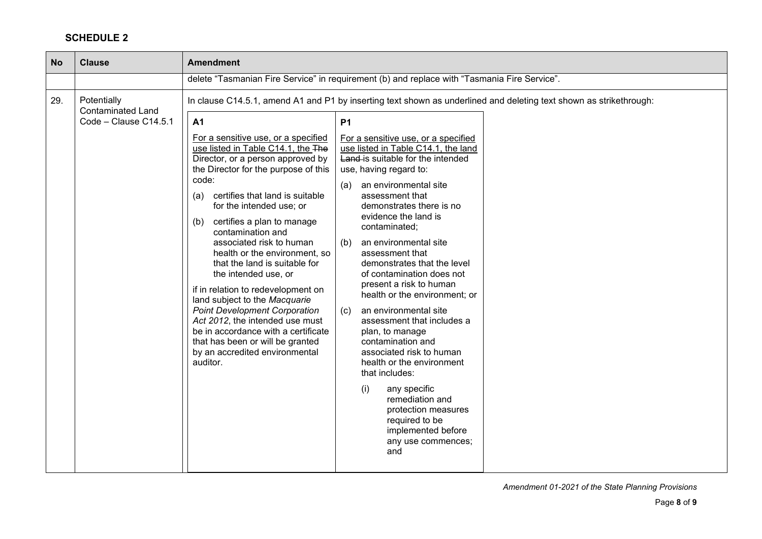| <b>No</b> | <b>Clause</b>                                                    | <b>Amendment</b>                                                                                                                                                                                                                                                                                                                                                                                                                                                                                                                                                                                                                                                                                                                                                                                                                                                                                                                                                                                                                                                                                                                                                                                                                                                                                                                                                                                                                                                                                                                                                                                |
|-----------|------------------------------------------------------------------|-------------------------------------------------------------------------------------------------------------------------------------------------------------------------------------------------------------------------------------------------------------------------------------------------------------------------------------------------------------------------------------------------------------------------------------------------------------------------------------------------------------------------------------------------------------------------------------------------------------------------------------------------------------------------------------------------------------------------------------------------------------------------------------------------------------------------------------------------------------------------------------------------------------------------------------------------------------------------------------------------------------------------------------------------------------------------------------------------------------------------------------------------------------------------------------------------------------------------------------------------------------------------------------------------------------------------------------------------------------------------------------------------------------------------------------------------------------------------------------------------------------------------------------------------------------------------------------------------|
|           |                                                                  | delete "Tasmanian Fire Service" in requirement (b) and replace with "Tasmania Fire Service".                                                                                                                                                                                                                                                                                                                                                                                                                                                                                                                                                                                                                                                                                                                                                                                                                                                                                                                                                                                                                                                                                                                                                                                                                                                                                                                                                                                                                                                                                                    |
| 29.       | Potentially<br><b>Contaminated Land</b><br>Code - Clause C14.5.1 | In clause C14.5.1, amend A1 and P1 by inserting text shown as underlined and deleting text shown as strikethrough:<br><b>P1</b><br>A <sub>1</sub><br>For a sensitive use, or a specified<br>For a sensitive use, or a specified<br>use listed in Table C14.1, the The<br>use listed in Table C14.1, the land<br>Director, or a person approved by<br>Land-is suitable for the intended<br>the Director for the purpose of this<br>use, having regard to:<br>code:<br>an environmental site<br>(a)<br>certifies that land is suitable<br>assessment that<br>(a)<br>for the intended use; or<br>demonstrates there is no<br>evidence the land is<br>(b)<br>certifies a plan to manage<br>contaminated;<br>contamination and<br>associated risk to human<br>an environmental site<br>(b)<br>health or the environment, so<br>assessment that<br>that the land is suitable for<br>demonstrates that the level<br>the intended use, or<br>of contamination does not<br>present a risk to human<br>if in relation to redevelopment on<br>health or the environment; or<br>land subject to the Macquarie<br><b>Point Development Corporation</b><br>an environmental site<br>(c)<br>Act 2012, the intended use must<br>assessment that includes a<br>be in accordance with a certificate<br>plan, to manage<br>that has been or will be granted<br>contamination and<br>associated risk to human<br>by an accredited environmental<br>auditor.<br>health or the environment<br>that includes:<br>(i)<br>any specific<br>remediation and<br>protection measures<br>required to be<br>implemented before |
|           |                                                                  | any use commences;<br>and                                                                                                                                                                                                                                                                                                                                                                                                                                                                                                                                                                                                                                                                                                                                                                                                                                                                                                                                                                                                                                                                                                                                                                                                                                                                                                                                                                                                                                                                                                                                                                       |